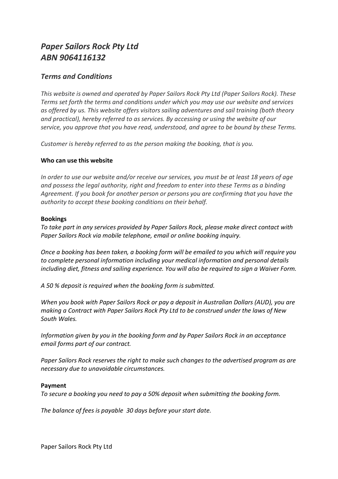# *Paper Sailors Rock Pty Ltd ABN 9064116132*

# *Terms and Conditions*

*This website is owned and operated by Paper Sailors Rock Pty Ltd (Paper Sailors Rock). These Terms set forth the terms and conditions under which you may use our website and services as offered by us. This website offers visitors sailing adventures and sail training (both theory and practical), hereby referred to as services. By accessing or using the website of our service, you approve that you have read, understood, and agree to be bound by these Terms.*

*Customer is hereby referred to as the person making the booking, that is you.*

## **Who can use this website**

*In order to use our website and/or receive our services, you must be at least 18 years of age and possess the legal authority, right and freedom to enter into these Terms as a binding Agreement. If you book for another person or persons you are confirming that you have the authority to accept these booking conditions on their behalf.*

#### **Bookings**

*To take part in any services provided by Paper Sailors Rock, please make direct contact with Paper Sailors Rock via mobile telephone, email or online booking inquiry.*

*Once a booking has been taken, a booking form will be emailed to you which will require you to complete personal information including your medical information and personal details including diet, fitness and sailing experience. You will also be required to sign a Waiver Form.* 

*A 50 % deposit is required when the booking form is submitted.*

*When you book with Paper Sailors Rock or pay a deposit in Australian Dollars (AUD), you are making a Contract with Paper Sailors Rock Pty Ltd to be construed under the laws of New South Wales.*

*Information given by you in the booking form and by Paper Sailors Rock in an acceptance email forms part of our contract.*

*Paper Sailors Rock reserves the right to make such changes to the advertised program as are necessary due to unavoidable circumstances.*

#### **Payment**

*To secure a booking you need to pay a 50% deposit when submitting the booking form.*

*The balance of fees is payable 30 days before your start date.*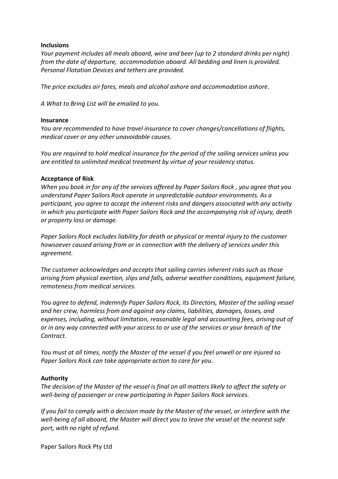#### **Inclusions**

*Your payment includes all meals aboard, wine and beer (up to 2 standard drinks per night) from the date of departure, accommodation aboard. All bedding and linen is provided. Personal Flotation Devices and tethers are provided.*

*The price excludes air fares, meals and alcohol ashore and accommodation ashore.*

*A What to Bring List will be emailed to you.*

#### **Insurance**

*You are recommended to have travel insurance to cover changes/cancellations of flights, medical cover or any other unavoidable causes.*

*You are required to hold medical insurance for the period of the sailing services unless you are entitled to unlimited medical treatment by virtue of your residency status.*

#### **Acceptance of Risk**

*When you book in for any of the services offered by Paper Sailors Rock , you agree that you understand Paper Sailors Rock operate in unpredictable outdoor environments. As a participant, you agree to accept the inherent risks and dangers associated with any activity in which you participate with Paper Sailors Rock and the accompanying risk of injury, death or property loss or damage.*

*Paper Sailors Rock excludes liability for death or physical or mental injury to the customer howsoever caused arising from or in connection with the delivery of services under this agreement.*

*The customer acknowledges and accepts that sailing carries inherent risks such as those arising from physical exertion, slips and falls, adverse weather conditions, equipment failure, remoteness from medical services.*

*You agree to defend, indemnify Paper Sailors Rock, its Directors, Master of the sailing vessel and her crew, harmless from and against any claims, liabilities, damages, losses, and expenses, including, without limitation, reasonable legal and accounting fees, arising out of or in any way connected with your access to or use of the services or your breach of the Contract.*

*You must at all times, notify the Master of the vessel if you feel unwell or are injured so Paper Sailors Rock can take appropriate action to care for you.*

#### **Authority**

*The decision of the Master of the vessel is final on all matters likely to affect the safety or well-being of passenger or crew participating in Paper Sailors Rock services.*

*If you fail to comply with a decision made by the Master of the vessel, or interfere with the well-being of all aboard, the Master will direct you to leave the vessel at the nearest safe port, with no right of refund.* 

Paper Sailors Rock Pty Ltd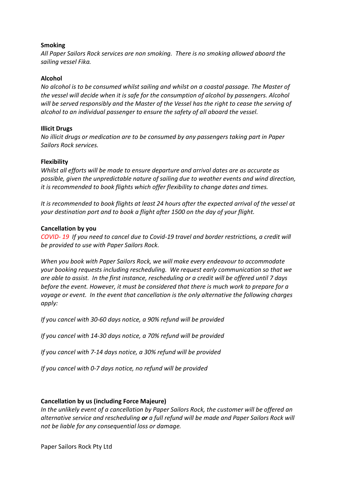#### **Smoking**

*All Paper Sailors Rock services are non smoking. There is no smoking allowed aboard the sailing vessel Fika.* 

#### **Alcohol**

*No alcohol is to be consumed whilst sailing and whilst on a coastal passage. The Master of the vessel will decide when it is safe for the consumption of alcohol by passengers. Alcohol will be served responsibly and the Master of the Vessel has the right to cease the serving of alcohol to an individual passenger to ensure the safety of all aboard the vessel.*

## **Illicit Drugs**

*No illicit drugs or medication are to be consumed by any passengers taking part in Paper Sailors Rock services.* 

#### **Flexibility**

*Whilst all efforts will be made to ensure departure and arrival dates are as accurate as possible, given the unpredictable nature of sailing due to weather events and wind direction, it is recommended to book flights which offer flexibility to change dates and times.* 

*It is recommended to book flights at least 24 hours after the expected arrival of the vessel at your destination port and to book a flight after 1500 on the day of your flight.*

#### **Cancellation by you**

*COVID- 19 If you need to cancel due to Covid-19 travel and border restrictions, a credit will be provided to use with Paper Sailors Rock.*

*When you book with Paper Sailors Rock, we will make every endeavour to accommodate your booking requests including rescheduling. We request early communication so that we are able to assist. In the first instance, rescheduling or a credit will be offered until 7 days before the event. However, it must be considered that there is much work to prepare for a voyage or event. In the event that cancellation is the only alternative the following charges apply:*

*If you cancel with 30-60 days notice, a 90% refund will be provided*

*If you cancel with 14-30 days notice, a 70% refund will be provided*

*If you cancel with 7-14 days notice, a 30% refund will be provided*

*If you cancel with 0-7 days notice, no refund will be provided*

# **Cancellation by us (including Force Majeure)**

*In the unlikely event of a cancellation by Paper Sailors Rock, the customer will be offered an alternative service and rescheduling or a full refund will be made and Paper Sailors Rock will not be liable for any consequential loss or damage.*